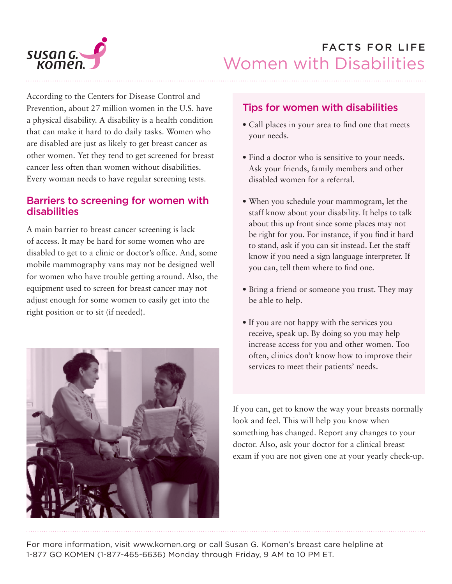

# FACTS FOR LIFE Women with Disabilities

According to the Centers for Disease Control and Prevention, about 27 million women in the U.S. have a physical disability. A disability is a health condition that can make it hard to do daily tasks. Women who are disabled are just as likely to get breast cancer as other women. Yet they tend to get screened for breast cancer less often than women without disabilities. Every woman needs to have regular screening tests.

# Barriers to screening for women with disabilities

A main barrier to breast cancer screening is lack of access. It may be hard for some women who are disabled to get to a clinic or doctor's office. And, some mobile mammography vans may not be designed well for women who have trouble getting around. Also, the equipment used to screen for breast cancer may not adjust enough for some women to easily get into the right position or to sit (if needed).



# Tips for women with disabilities

- Call places in your area to find one that meets your needs.
- Find a doctor who is sensitive to your needs. Ask your friends, family members and other disabled women for a referral.
- When you schedule your mammogram, let the staff know about your disability. It helps to talk about this up front since some places may not be right for you. For instance, if you find it hard to stand, ask if you can sit instead. Let the staff know if you need a sign language interpreter. If you can, tell them where to find one.
- Bring a friend or someone you trust. They may be able to help.
- If you are not happy with the services you receive, speak up. By doing so you may help increase access for you and other women. Too often, clinics don't know how to improve their services to meet their patients' needs.

If you can, get to know the way your breasts normally look and feel. This will help you know when something has changed. Report any changes to your doctor. Also, ask your doctor for a clinical breast exam if you are not given one at your yearly check-up.

For more information, visit www.komen.org or call Susan G. Komen's breast care helpline at 1-877 GO KOMEN (1-877-465-6636) Monday through Friday, 9 AM to 10 PM ET.